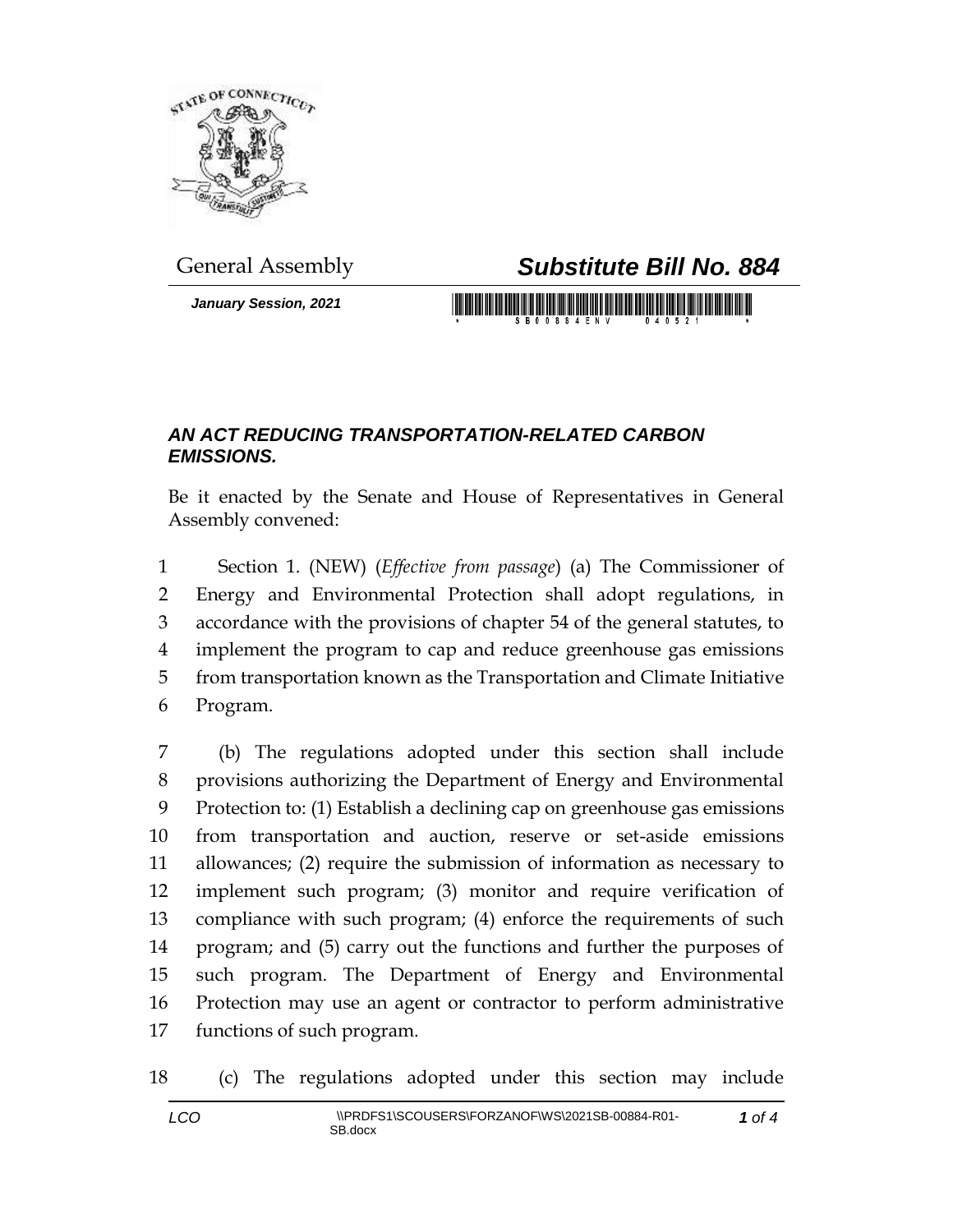

*January Session, 2021*

## General Assembly *Substitute Bill No. 884*

<u> Hilli Milli Milli Milli Milli Milli</u>

## *AN ACT REDUCING TRANSPORTATION-RELATED CARBON EMISSIONS.*

Be it enacted by the Senate and House of Representatives in General Assembly convened:

 Section 1. (NEW) (*Effective from passage*) (a) The Commissioner of Energy and Environmental Protection shall adopt regulations, in accordance with the provisions of chapter 54 of the general statutes, to implement the program to cap and reduce greenhouse gas emissions from transportation known as the Transportation and Climate Initiative Program.

 (b) The regulations adopted under this section shall include provisions authorizing the Department of Energy and Environmental Protection to: (1) Establish a declining cap on greenhouse gas emissions from transportation and auction, reserve or set-aside emissions allowances; (2) require the submission of information as necessary to implement such program; (3) monitor and require verification of compliance with such program; (4) enforce the requirements of such program; and (5) carry out the functions and further the purposes of such program. The Department of Energy and Environmental Protection may use an agent or contractor to perform administrative functions of such program.

(c) The regulations adopted under this section may include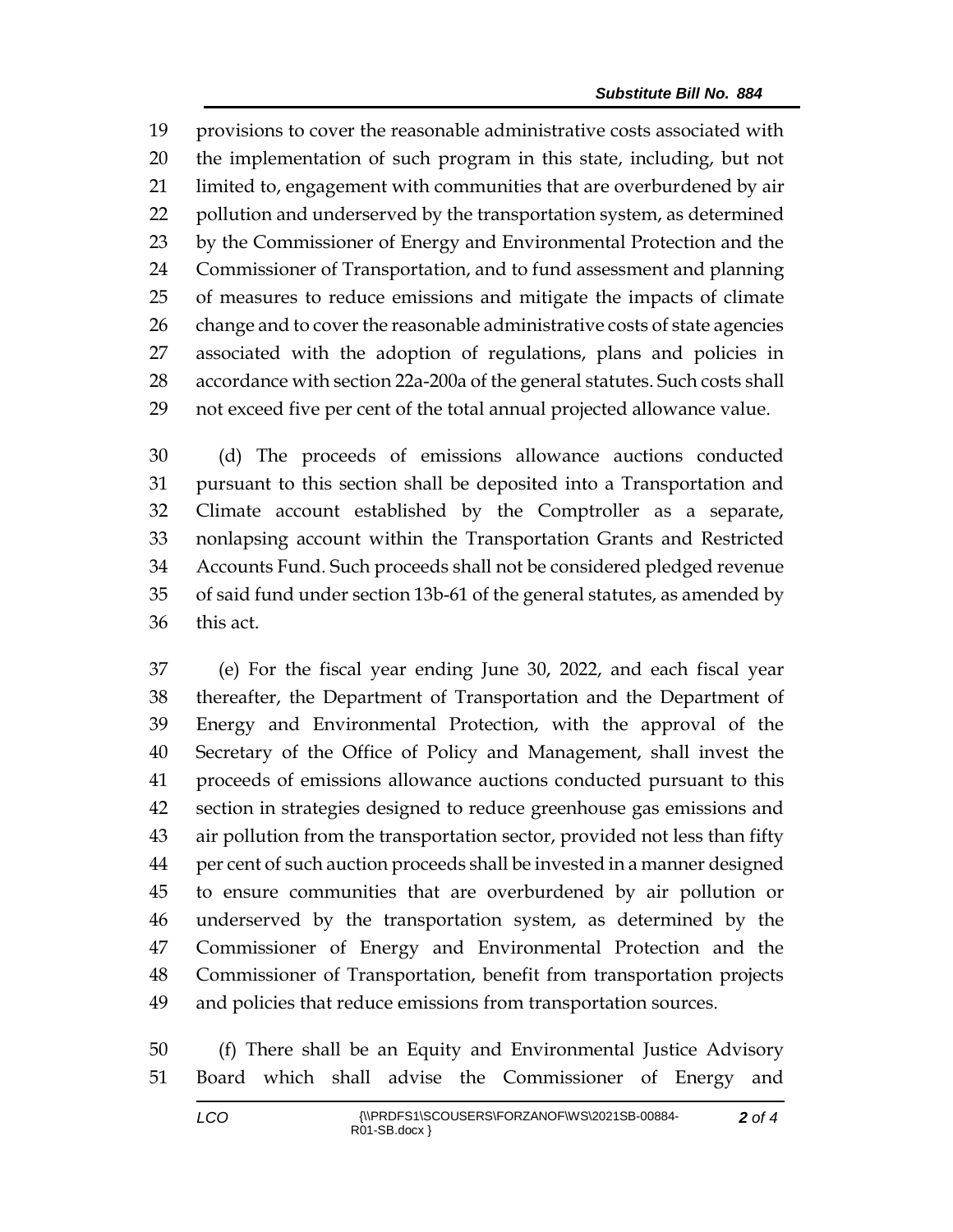provisions to cover the reasonable administrative costs associated with the implementation of such program in this state, including, but not limited to, engagement with communities that are overburdened by air pollution and underserved by the transportation system, as determined by the Commissioner of Energy and Environmental Protection and the Commissioner of Transportation, and to fund assessment and planning of measures to reduce emissions and mitigate the impacts of climate 26 change and to cover the reasonable administrative costs of state agencies associated with the adoption of regulations, plans and policies in accordance with section 22a-200a of the general statutes. Such costs shall not exceed five per cent of the total annual projected allowance value.

 (d) The proceeds of emissions allowance auctions conducted pursuant to this section shall be deposited into a Transportation and Climate account established by the Comptroller as a separate, nonlapsing account within the Transportation Grants and Restricted Accounts Fund. Such proceeds shall not be considered pledged revenue of said fund under section 13b-61 of the general statutes, as amended by this act.

 (e) For the fiscal year ending June 30, 2022, and each fiscal year thereafter, the Department of Transportation and the Department of Energy and Environmental Protection, with the approval of the Secretary of the Office of Policy and Management, shall invest the proceeds of emissions allowance auctions conducted pursuant to this section in strategies designed to reduce greenhouse gas emissions and air pollution from the transportation sector, provided not less than fifty per cent of such auction proceeds shall be invested in a manner designed to ensure communities that are overburdened by air pollution or underserved by the transportation system, as determined by the Commissioner of Energy and Environmental Protection and the Commissioner of Transportation, benefit from transportation projects and policies that reduce emissions from transportation sources.

 (f) There shall be an Equity and Environmental Justice Advisory Board which shall advise the Commissioner of Energy and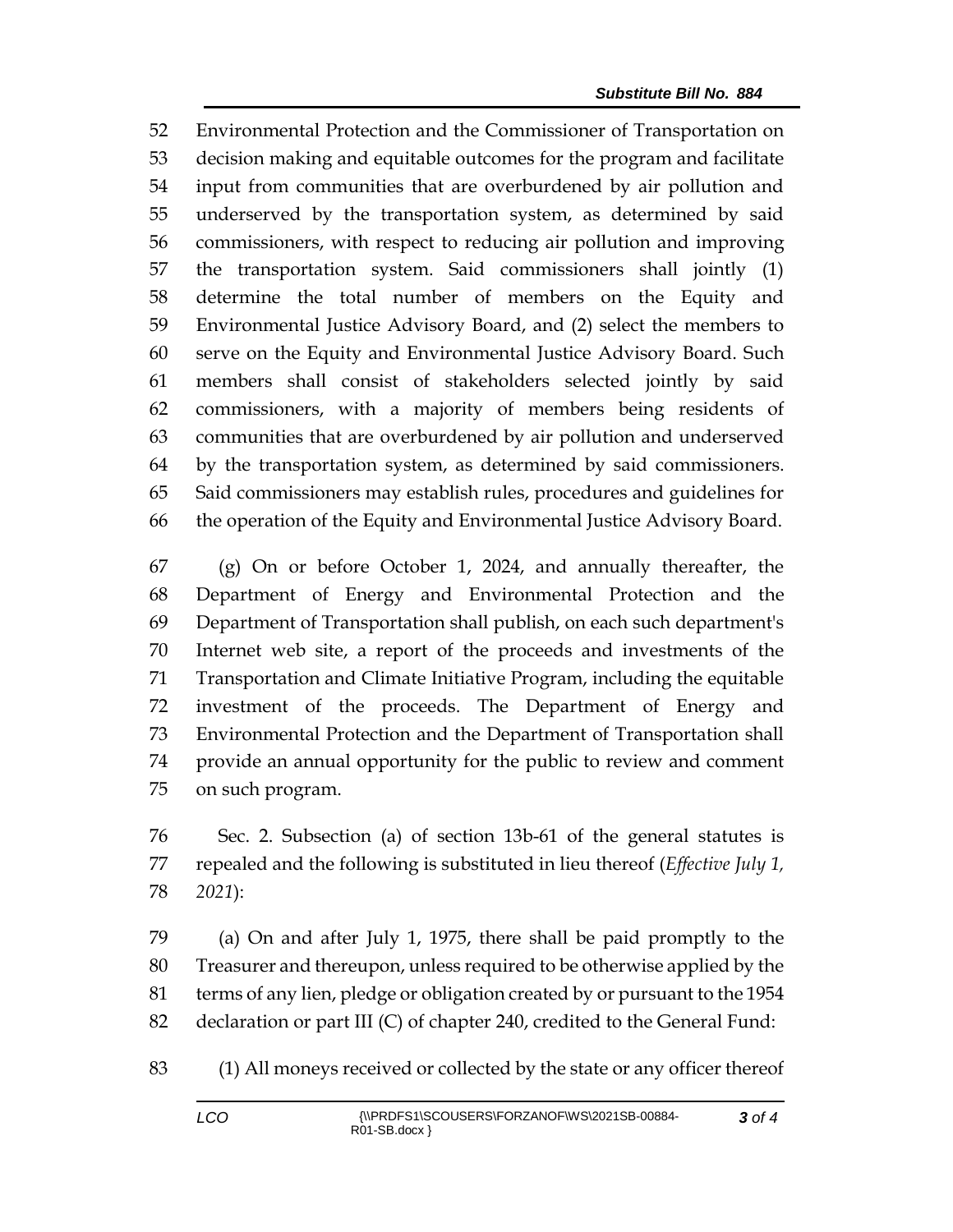Environmental Protection and the Commissioner of Transportation on decision making and equitable outcomes for the program and facilitate input from communities that are overburdened by air pollution and underserved by the transportation system, as determined by said commissioners, with respect to reducing air pollution and improving the transportation system. Said commissioners shall jointly (1) determine the total number of members on the Equity and Environmental Justice Advisory Board, and (2) select the members to serve on the Equity and Environmental Justice Advisory Board. Such members shall consist of stakeholders selected jointly by said commissioners, with a majority of members being residents of communities that are overburdened by air pollution and underserved by the transportation system, as determined by said commissioners. Said commissioners may establish rules, procedures and guidelines for the operation of the Equity and Environmental Justice Advisory Board.

 (g) On or before October 1, 2024, and annually thereafter, the Department of Energy and Environmental Protection and the Department of Transportation shall publish, on each such department's Internet web site, a report of the proceeds and investments of the Transportation and Climate Initiative Program, including the equitable investment of the proceeds. The Department of Energy and Environmental Protection and the Department of Transportation shall provide an annual opportunity for the public to review and comment on such program.

 Sec. 2. Subsection (a) of section 13b-61 of the general statutes is repealed and the following is substituted in lieu thereof (*Effective July 1, 2021*):

 (a) On and after July 1, 1975, there shall be paid promptly to the Treasurer and thereupon, unless required to be otherwise applied by the terms of any lien, pledge or obligation created by or pursuant to the 1954 declaration or part III (C) of chapter 240, credited to the General Fund:

(1) All moneys received or collected by the state or any officer thereof